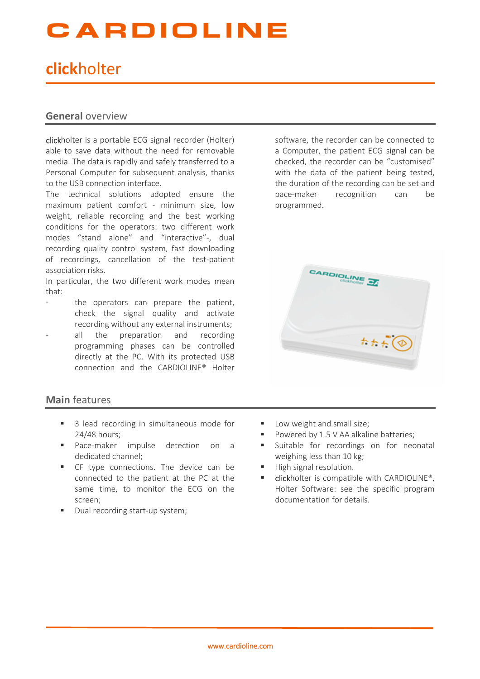## CARDIOLINE

### **click**holter

#### **General** overview

clickholter is a portable ECG signal recorder (Holter) able to save data without the need for removable media. The data is rapidly and safely transferred to a Personal Computer for subsequent analysis, thanks to the USB connection interface.

The technical solutions adopted ensure the maximum patient comfort - minimum size, low weight, reliable recording and the best working conditions for the operators: two different work modes "stand alone" and "interactive"-, dual recording quality control system, fast downloading of recordings, cancellation of the test-patient association risks.

In particular, the two different work modes mean that:

- the operators can prepare the patient, check the signal quality and activate recording without any external instruments;
- all the preparation and recording programming phases can be controlled directly at the PC. With its protected USB connection and the CARDIOLINE® Holter

#### **Main** features

- 3 lead recording in simultaneous mode for 24/48 hours;
- **Pace-maker impulse detection on a** dedicated channel;
- **F** CF type connections. The device can be connected to the patient at the PC at the same time, to monitor the ECG on the screen;
- Dual recording start-up system;

software, the recorder can be connected to a Computer, the patient ECG signal can be checked, the recorder can be "customised" with the data of the patient being tested, the duration of the recording can be set and pace-maker recognition can be programmed.



- **Low weight and small size;**
- Powered by 1.5 V AA alkaline batteries;
- **Suitable for recordings on for neonatal** weighing less than 10 kg;
- High signal resolution.
- **E** clickholter is compatible with CARDIOLINE®. Holter Software: see the specific program documentation for details.